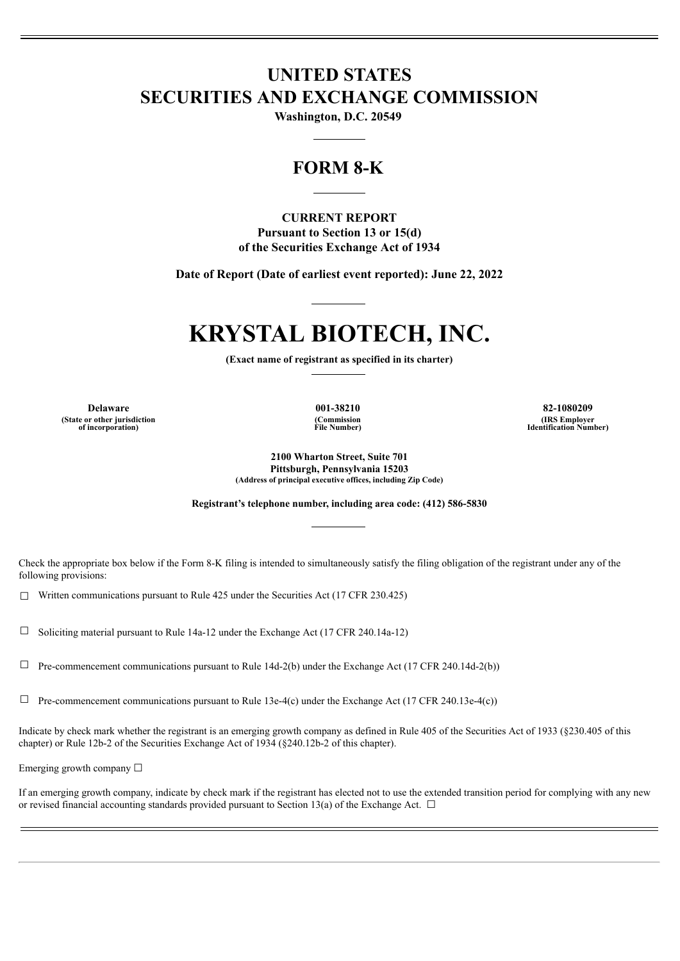# **UNITED STATES SECURITIES AND EXCHANGE COMMISSION**

**Washington, D.C. 20549**

# **FORM 8-K**

# **CURRENT REPORT Pursuant to Section 13 or 15(d)**

**of the Securities Exchange Act of 1934**

**Date of Report (Date of earliest event reported): June 22, 2022**

# **KRYSTAL BIOTECH, INC.**

**(Exact name of registrant as specified in its charter)**

**(State or other jurisdiction of incorporation)**

**(Commission File Number)**

**Delaware 001-38210 82-1080209 (IRS Employer Identification Number)**

> **2100 Wharton Street, Suite 701 Pittsburgh, Pennsylvania 15203 (Address of principal executive offices, including Zip Code)**

**Registrant's telephone number, including area code: (412) 586-5830**

Check the appropriate box below if the Form 8-K filing is intended to simultaneously satisfy the filing obligation of the registrant under any of the following provisions:

 $\Box$  Written communications pursuant to Rule 425 under the Securities Act (17 CFR 230.425)

 $\Box$  Soliciting material pursuant to Rule 14a-12 under the Exchange Act (17 CFR 240.14a-12)

 $\Box$  Pre-commencement communications pursuant to Rule 14d-2(b) under the Exchange Act (17 CFR 240.14d-2(b))

 $\Box$  Pre-commencement communications pursuant to Rule 13e-4(c) under the Exchange Act (17 CFR 240.13e-4(c))

Indicate by check mark whether the registrant is an emerging growth company as defined in Rule 405 of the Securities Act of 1933 (§230.405 of this chapter) or Rule 12b-2 of the Securities Exchange Act of 1934 (§240.12b-2 of this chapter).

Emerging growth company  $\Box$ 

If an emerging growth company, indicate by check mark if the registrant has elected not to use the extended transition period for complying with any new or revised financial accounting standards provided pursuant to Section 13(a) of the Exchange Act.  $\Box$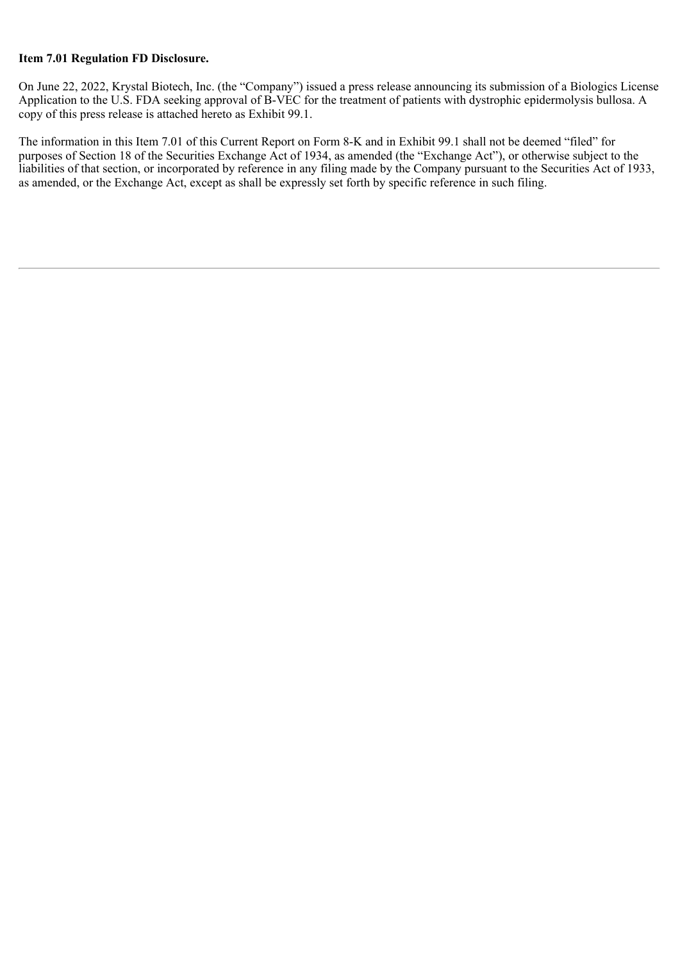## **Item 7.01 Regulation FD Disclosure.**

On June 22, 2022, Krystal Biotech, Inc. (the "Company") issued a press release announcing its submission of a Biologics License Application to the U.S. FDA seeking approval of B-VEC for the treatment of patients with dystrophic epidermolysis bullosa. A copy of this press release is attached hereto as Exhibit 99.1.

The information in this Item 7.01 of this Current Report on Form 8-K and in Exhibit 99.1 shall not be deemed "filed" for purposes of Section 18 of the Securities Exchange Act of 1934, as amended (the "Exchange Act"), or otherwise subject to the liabilities of that section, or incorporated by reference in any filing made by the Company pursuant to the Securities Act of 1933, as amended, or the Exchange Act, except as shall be expressly set forth by specific reference in such filing.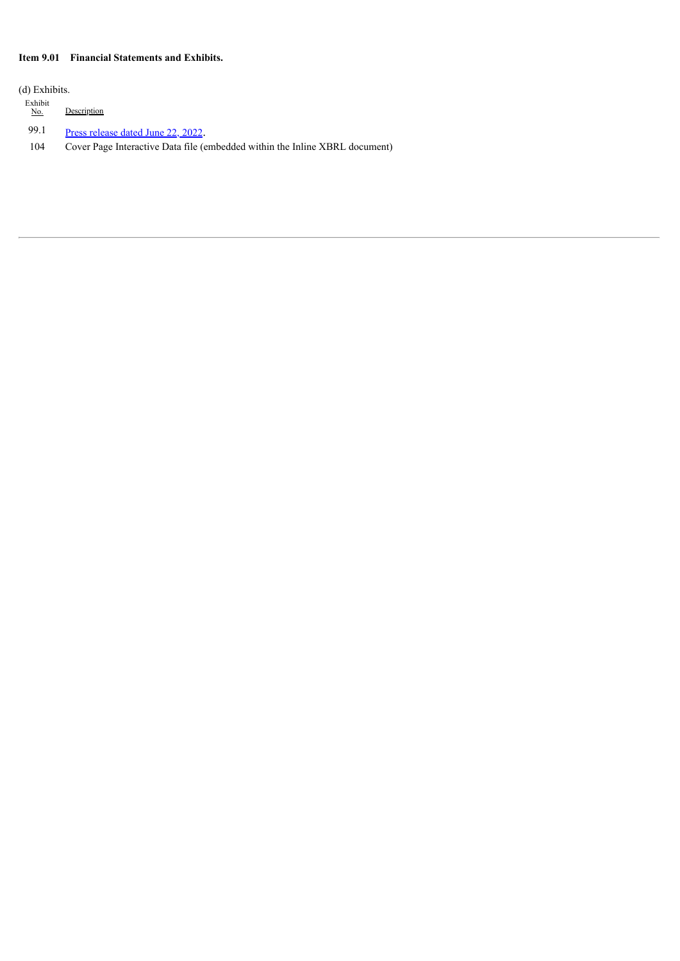## **Item 9.01 Financial Statements and Exhibits.**

(d) Exhibits.

Exhibit  $\underline{No}$ . Description

99.1 Press [release](#page-4-0) dated June 22, 2022.

104 Cover Page Interactive Data file (embedded within the Inline XBRL document)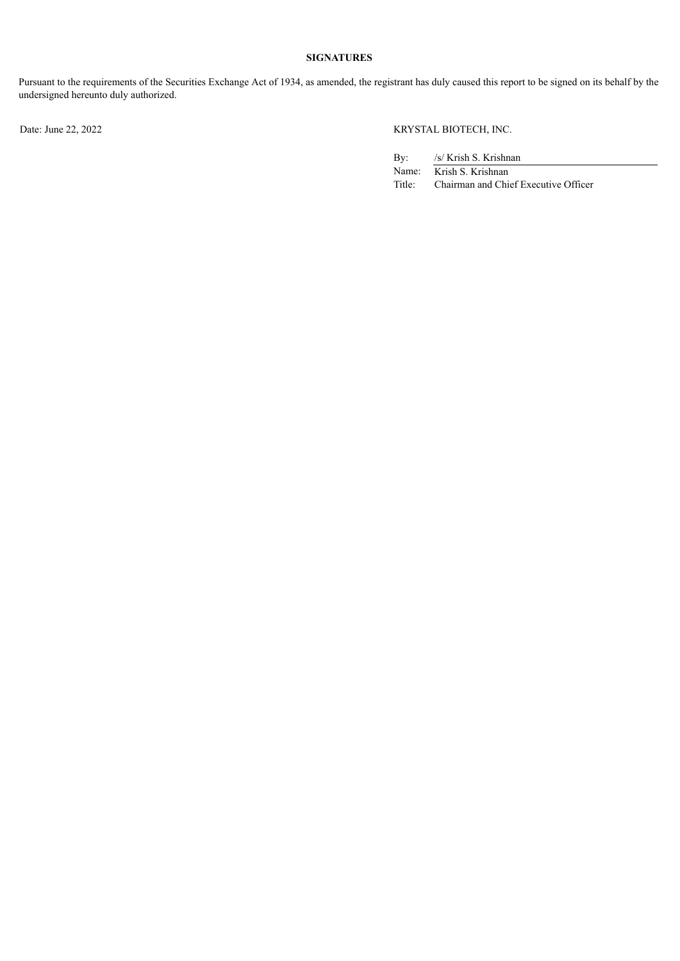# **SIGNATURES**

Pursuant to the requirements of the Securities Exchange Act of 1934, as amended, the registrant has duly caused this report to be signed on its behalf by the undersigned hereunto duly authorized.

# Date: June 22, 2022 KRYSTAL BIOTECH, INC.

| $\rm\,By:$ | /s/ Krish S. Krishnan                |
|------------|--------------------------------------|
| Name:      | Krish S. Krishnan                    |
| Title:     | Chairman and Chief Executive Officer |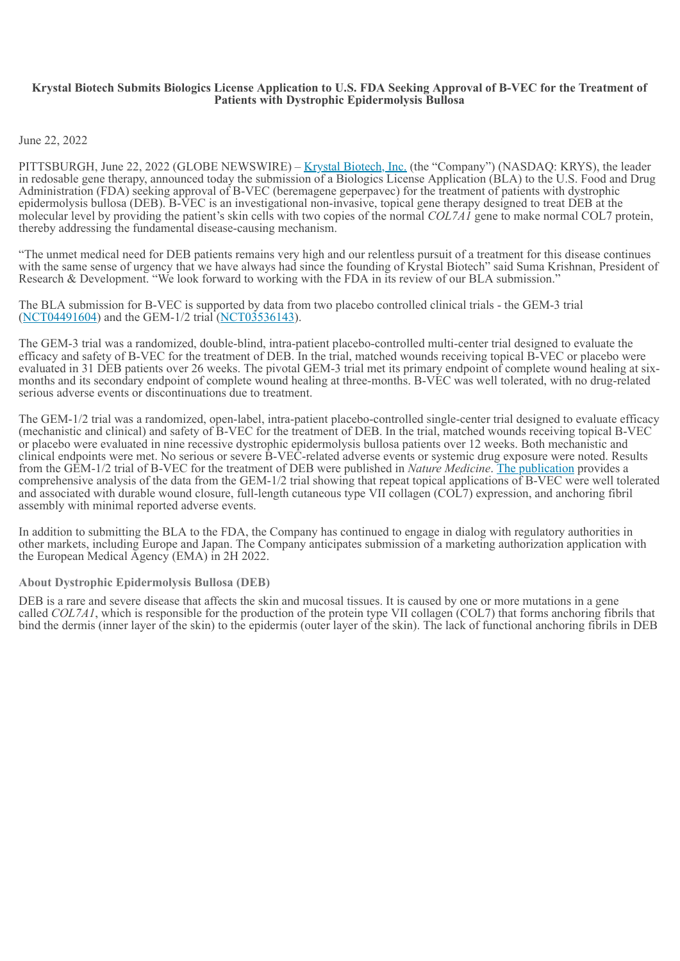#### <span id="page-4-0"></span>**Krystal Biotech Submits Biologics License Application to U.S. FDA Seeking Approval of B-VEC for the Treatment of Patients with Dystrophic Epidermolysis Bullosa**

June 22, 2022

PITTSBURGH, June 22, 2022 (GLOBE NEWSWIRE) – Krystal Biotech, Inc. (the "Company") (NASDAQ: KRYS), the leader in redosable gene therapy, announced today the submission of a Biologics License Application (BLA) to the U.S. Food and Drug Administration (FDA) seeking approval of B-VEC (beremagene geperpavec) for the treatment of patients with dystrophic epidermolysis bullosa (DEB). B-VEC is an investigational non-invasive, topical gene therapy designed to treat DEB at the molecular level by providing the patient's skin cells with two copies of the normal *COL7A1* gene to make normal COL7 protein, thereby addressing the fundamental disease-causing mechanism.

"The unmet medical need for DEB patients remains very high and our relentless pursuit of a treatment for this disease continues with the same sense of urgency that we have always had since the founding of Krystal Biotech" said Suma Krishnan, President of Research & Development. "We look forward to working with the FDA in its review of our BLA submission."

The BLA submission for B-VEC is supported by data from two placebo controlled clinical trials - the GEM-3 trial (NCT04491604) and the GEM-1/2 trial (NCT03536143).

The GEM-3 trial was a randomized, double-blind, intra-patient placebo-controlled multi-center trial designed to evaluate the efficacy and safety of B-VEC for the treatment of DEB. In the trial, matched wounds receiving topical B-VEC or placebo were evaluated in 31 DEB patients over 26 weeks. The pivotal GEM-3 trial met its primary endpoint of complete wound healing at sixmonths and its secondary endpoint of complete wound healing at three-months. B-VEC was well tolerated, with no drug-related serious adverse events or discontinuations due to treatment.

The GEM-1/2 trial was a randomized, open-label, intra-patient placebo-controlled single-center trial designed to evaluate efficacy (mechanistic and clinical) and safety of B-VEC for the treatment of DEB. In the trial, matched wounds receiving topical B-VEC or placebo were evaluated in nine recessive dystrophic epidermolysis bullosa patients over 12 weeks. Both mechanistic and clinical endpoints were met. No serious or severe B-VEC-related adverse events or systemic drug exposure were noted. Results from the GEM-1/2 trial of B-VEC for the treatment of DEB were published in *Nature Medicine*. The publication provides a comprehensive analysis of the data from the GEM-1/2 trial showing that repeat topical applications of B-VEC were well tolerated and associated with durable wound closure, full-length cutaneous type VII collagen (COL7) expression, and anchoring fibril assembly with minimal reported adverse events.

In addition to submitting the BLA to the FDA, the Company has continued to engage in dialog with regulatory authorities in other markets, including Europe and Japan. The Company anticipates submission of a marketing authorization application with the European Medical Agency (EMA) in 2H 2022.

#### **About Dystrophic Epidermolysis Bullosa (DEB)**

DEB is a rare and severe disease that affects the skin and mucosal tissues. It is caused by one or more mutations in a gene called *COL7A1*, which is responsible for the production of the protein type VII collagen (COL7) that forms anchoring fibrils that bind the dermis (inner layer of the skin) to the epidermis (outer layer of the skin). The lack of functional anchoring fibrils in DEB